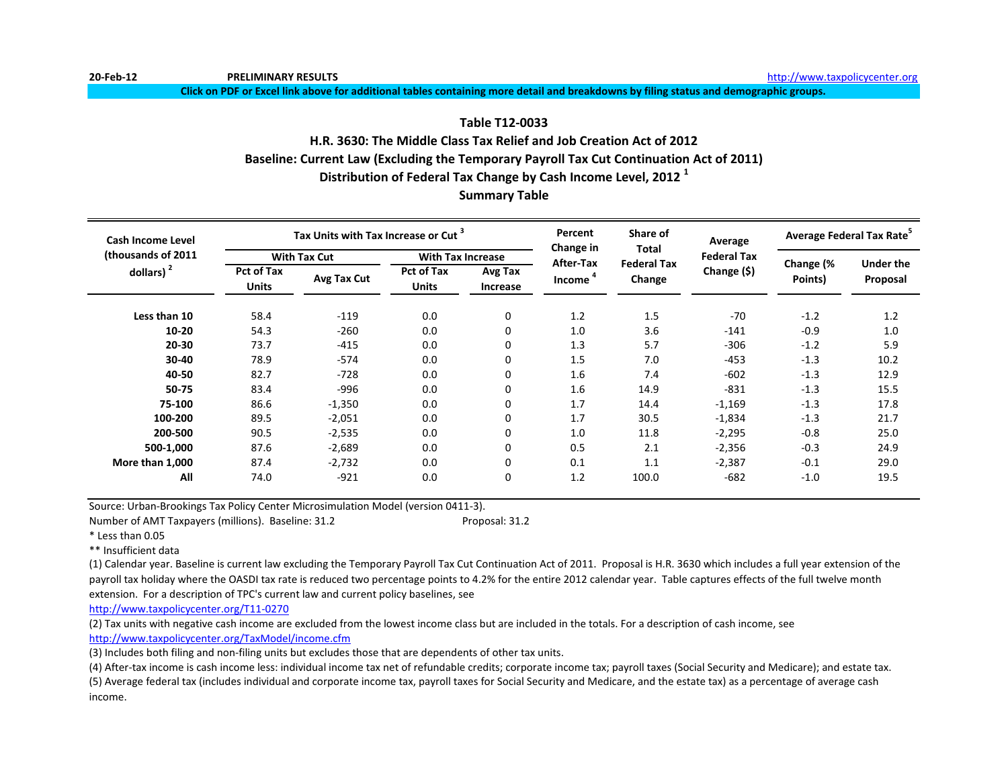**20-Feb-12 PRELIMINARY RESULTS** [h](http://www.taxpolicycenter.org/)ttp://www.taxpolicycenter.org

**Click on PDF or Excel link above for additional tables containing more detail and breakdowns by filing status and demographic groups.**

# **Table T12-0033**

# **H.R. 3630: The Middle Class Tax Relief and Job Creation Act of 2012 Baseline: Current Law (Excluding the Temporary Payroll Tax Cut Continuation Act of 2011) Distribution of Federal Tax Change by Cash Income Level, 2012 <sup>1</sup>**

# **Summary Table**

| Cash Income Level  |                                   | Tax Units with Tax Increase or Cut <sup>3</sup> |                                   |                     | Percent<br>Change in | Share of<br>Total            | Average            | Average Federal Tax Rate <sup>5</sup> |                              |  |
|--------------------|-----------------------------------|-------------------------------------------------|-----------------------------------|---------------------|----------------------|------------------------------|--------------------|---------------------------------------|------------------------------|--|
| (thousands of 2011 |                                   | <b>With Tax Cut</b>                             | <b>With Tax Increase</b>          |                     | After-Tax            |                              | <b>Federal Tax</b> |                                       |                              |  |
| dollars) $2$       | <b>Pct of Tax</b><br><b>Units</b> | Avg Tax Cut                                     | <b>Pct of Tax</b><br><b>Units</b> | Avg Tax<br>Increase | Income <sup>4</sup>  | <b>Federal Tax</b><br>Change | Change (\$)        | Change (%<br>Points)                  | <b>Under the</b><br>Proposal |  |
| Less than 10       | 58.4                              | $-119$                                          | 0.0                               | 0                   | 1.2                  | 1.5                          | $-70$              | $-1.2$                                | 1.2                          |  |
| 10-20              | 54.3                              | $-260$                                          | 0.0                               | $\mathbf 0$         | 1.0                  | 3.6                          | $-141$             | $-0.9$                                | 1.0                          |  |
| 20-30              | 73.7                              | $-415$                                          | 0.0                               | $\mathbf 0$         | 1.3                  | 5.7                          | $-306$             | $-1.2$                                | 5.9                          |  |
| 30-40              | 78.9                              | $-574$                                          | 0.0                               | 0                   | 1.5                  | 7.0                          | $-453$             | $-1.3$                                | 10.2                         |  |
| 40-50              | 82.7                              | $-728$                                          | 0.0                               | $\mathbf 0$         | 1.6                  | 7.4                          | $-602$             | $-1.3$                                | 12.9                         |  |
| 50-75              | 83.4                              | $-996$                                          | 0.0                               | $\mathbf 0$         | 1.6                  | 14.9                         | $-831$             | $-1.3$                                | 15.5                         |  |
| 75-100             | 86.6                              | $-1,350$                                        | 0.0                               | $\mathbf 0$         | 1.7                  | 14.4                         | $-1,169$           | $-1.3$                                | 17.8                         |  |
| 100-200            | 89.5                              | $-2,051$                                        | 0.0                               | 0                   | 1.7                  | 30.5                         | $-1,834$           | $-1.3$                                | 21.7                         |  |
| 200-500            | 90.5                              | $-2,535$                                        | 0.0                               | 0                   | 1.0                  | 11.8                         | $-2,295$           | $-0.8$                                | 25.0                         |  |
| 500-1,000          | 87.6                              | $-2,689$                                        | 0.0                               | 0                   | 0.5                  | 2.1                          | $-2,356$           | $-0.3$                                | 24.9                         |  |
| More than 1,000    | 87.4                              | $-2,732$                                        | 0.0                               | $\mathbf 0$         | 0.1                  | 1.1                          | $-2,387$           | $-0.1$                                | 29.0                         |  |
| All                | 74.0                              | $-921$                                          | 0.0                               | $\mathbf 0$         | 1.2                  | 100.0                        | $-682$             | $-1.0$                                | 19.5                         |  |

Source: Urban-Brookings Tax Policy Center Microsimulation Model (version 0411-3).

Number of AMT Taxpayers (millions). Baseline: 31.2 Proposal: 31.2

\* Less than 0.05

\*\* Insufficient data

(1) Calendar year. Baseline is current law excluding the Temporary Payroll Tax Cut Continuation Act of 2011. Proposal is H.R. 3630 which includes a full year extension of the payroll tax holiday where the OASDI tax rate is reduced two percentage points to 4.2% for the entire 2012 calendar year. Table captures effects of the full twelve month extension. For a description of TPC's current law and current policy baselines, see

[http://www.taxpolicycente](http://www.taxpolicycenter.org/T11-0270)r.org/T11-0270

(2) Tax units with negative cash income are excluded from the lowest income class but are included in the totals. For a description of cash income, see [http://www.taxpolicycente](http://www.taxpolicycenter.org/TaxModel/income.cfm)r.org/TaxModel/income.cfm

(3) Includes both filing and non-filing units but excludes those that are dependents of other tax units.

(4) After-tax income is cash income less: individual income tax net of refundable credits; corporate income tax; payroll taxes (Social Security and Medicare); and estate tax.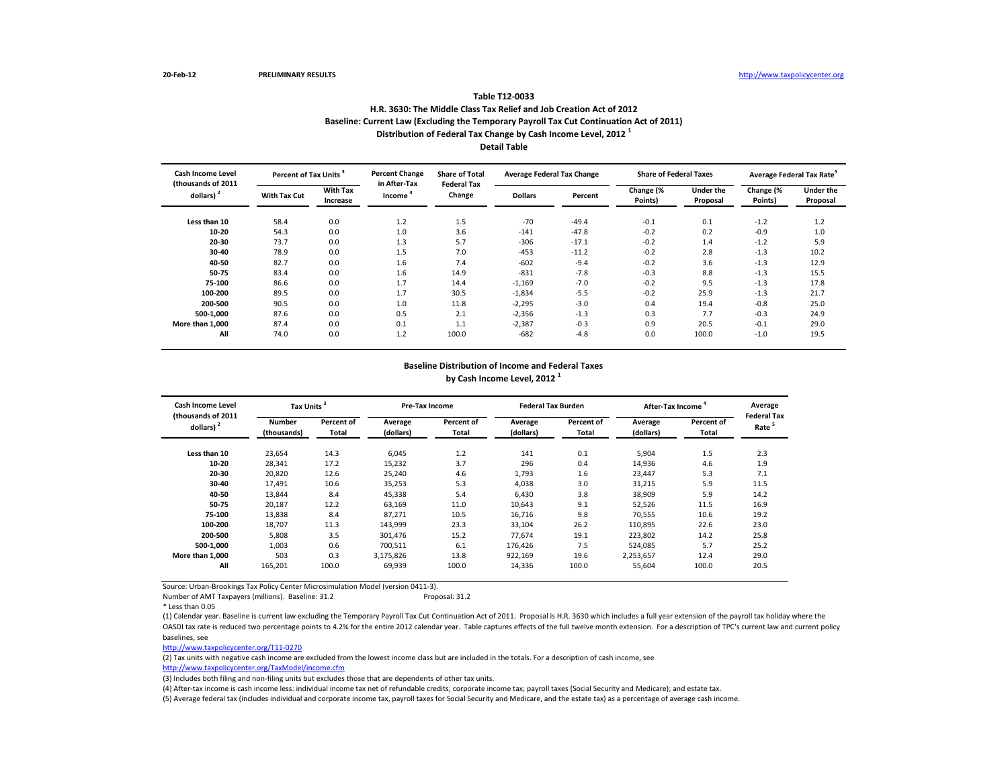#### **Table T12-0033**

## **H.R. 3630: The Middle Class Tax Relief and Job Creation Act of 2012 Baseline: Current Law (Excluding the Temporary Payroll Tax Cut Continuation Act of 2011) Distribution of Federal Tax Change by Cash Income Level, 2012 <sup>1</sup> Detail Table**

| Cash Income Level                           | Percent of Tax Units <sup>3</sup> |                             | <b>Percent Change</b>               | <b>Share of Total</b><br><b>Federal Tax</b> | <b>Average Federal Tax Change</b> |         | <b>Share of Federal Taxes</b> |                              | Average Federal Tax Rate |                              |
|---------------------------------------------|-----------------------------------|-----------------------------|-------------------------------------|---------------------------------------------|-----------------------------------|---------|-------------------------------|------------------------------|--------------------------|------------------------------|
| (thousands of 2011<br>dollars) <sup>2</sup> | <b>With Tax Cut</b>               | <b>With Tax</b><br>Increase | in After-Tax<br>Income <sup>4</sup> | Change                                      | <b>Dollars</b>                    | Percent | Change (%<br>Points)          | <b>Under the</b><br>Proposal | Change (%<br>Points)     | <b>Under the</b><br>Proposal |
| Less than 10                                | 58.4                              | 0.0                         | 1.2                                 | 1.5                                         | $-70$                             | $-49.4$ | $-0.1$                        | 0.1                          | $-1.2$                   | 1.2                          |
| 10-20                                       | 54.3                              | 0.0                         | 1.0                                 | 3.6                                         | $-141$                            | $-47.8$ | $-0.2$                        | 0.2                          | $-0.9$                   | 1.0                          |
| 20-30                                       | 73.7                              | 0.0                         | 1.3                                 | 5.7                                         | $-306$                            | $-17.1$ | $-0.2$                        | 1.4                          | $-1.2$                   | 5.9                          |
| 30-40                                       | 78.9                              | 0.0                         | 1.5                                 | 7.0                                         | $-453$                            | $-11.2$ | $-0.2$                        | 2.8                          | $-1.3$                   | 10.2                         |
| 40-50                                       | 82.7                              | 0.0                         | 1.6                                 | 7.4                                         | $-602$                            | $-9.4$  | $-0.2$                        | 3.6                          | $-1.3$                   | 12.9                         |
| 50-75                                       | 83.4                              | 0.0                         | 1.6                                 | 14.9                                        | $-831$                            | $-7.8$  | $-0.3$                        | 8.8                          | $-1.3$                   | 15.5                         |
| 75-100                                      | 86.6                              | 0.0                         | 1.7                                 | 14.4                                        | $-1,169$                          | $-7.0$  | $-0.2$                        | 9.5                          | $-1.3$                   | 17.8                         |
| 100-200                                     | 89.5                              | 0.0                         | 1.7                                 | 30.5                                        | $-1,834$                          | $-5.5$  | $-0.2$                        | 25.9                         | $-1.3$                   | 21.7                         |
| 200-500                                     | 90.5                              | 0.0                         | 1.0                                 | 11.8                                        | $-2,295$                          | $-3.0$  | 0.4                           | 19.4                         | $-0.8$                   | 25.0                         |
| 500-1.000                                   | 87.6                              | 0.0                         | 0.5                                 | 2.1                                         | $-2,356$                          | $-1.3$  | 0.3                           | 7.7                          | $-0.3$                   | 24.9                         |
| More than 1.000                             | 87.4                              | 0.0                         | 0.1                                 | 1.1                                         | $-2,387$                          | $-0.3$  | 0.9                           | 20.5                         | $-0.1$                   | 29.0                         |
| All                                         | 74.0                              | 0.0                         | 1.2                                 | 100.0                                       | $-682$                            | $-4.8$  | 0.0                           | 100.0                        | $-1.0$                   | 19.5                         |

## **Baseline Distribution of Income and Federal Taxes by Cash Income Level, 2012 <sup>1</sup>**

| Cash Income Level<br>thousands of 2011 |                              | Tax Units           |                      | <b>Pre-Tax Income</b> |                      | <b>Federal Tax Burden</b> | After-Tax Income     |                     | Average<br><b>Federal Tax</b> |
|----------------------------------------|------------------------------|---------------------|----------------------|-----------------------|----------------------|---------------------------|----------------------|---------------------|-------------------------------|
| dollars) $2$                           | <b>Number</b><br>(thousands) | Percent of<br>Total | Average<br>(dollars) | Percent of<br>Total   | Average<br>(dollars) | Percent of<br>Total       | Average<br>(dollars) | Percent of<br>Total | Rate <sup>5</sup>             |
| Less than 10                           | 23,654                       | 14.3                | 6.045                | 1.2                   | 141                  | 0.1                       | 5,904                | 1.5                 | 2.3                           |
| 10-20                                  | 28,341                       | 17.2                | 15.232               | 3.7                   | 296                  | 0.4                       | 14,936               | 4.6                 | 1.9                           |
| 20-30                                  | 20,820                       | 12.6                | 25.240               | 4.6                   | 1,793                | 1.6                       | 23.447               | 5.3                 | 7.1                           |
| 30-40                                  | 17,491                       | 10.6                | 35,253               | 5.3                   | 4,038                | 3.0                       | 31,215               | 5.9                 | 11.5                          |
| 40-50                                  | 13,844                       | 8.4                 | 45,338               | 5.4                   | 6,430                | 3.8                       | 38,909               | 5.9                 | 14.2                          |
| 50-75                                  | 20,187                       | 12.2                | 63,169               | 11.0                  | 10,643               | 9.1                       | 52,526               | 11.5                | 16.9                          |
| 75-100                                 | 13,838                       | 8.4                 | 87.271               | 10.5                  | 16,716               | 9.8                       | 70.555               | 10.6                | 19.2                          |
| 100-200                                | 18.707                       | 11.3                | 143,999              | 23.3                  | 33,104               | 26.2                      | 110,895              | 22.6                | 23.0                          |
| 200-500                                | 5.808                        | 3.5                 | 301.476              | 15.2                  | 77.674               | 19.1                      | 223,802              | 14.2                | 25.8                          |
| 500-1.000                              | 1.003                        | 0.6                 | 700.511              | 6.1                   | 176.426              | 7.5                       | 524.085              | 5.7                 | 25.2                          |
| More than 1,000                        | 503                          | 0.3                 | 3,175,826            | 13.8                  | 922,169              | 19.6                      | 2,253,657            | 12.4                | 29.0                          |
| All                                    | 165,201                      | 100.0               | 69,939               | 100.0                 | 14,336               | 100.0                     | 55,604               | 100.0               | 20.5                          |

Source: Urban-Brookings Tax Policy Center Microsimulation Model (version 0411-3).

Number of AMT Taxpayers (millions). Baseline: 31.2 Proposal: 31.2

\* Less than 0.05

(1) Calendar year. Baseline is current law excluding the Temporary Payroll Tax Cut Continuation Act of 2011. Proposal is H.R. 3630 which includes a full year extension of the payroll tax holiday where the OASDI tax rate is reduced two percentage points to 4.2% for the entire 2012 calendar year. Table captures effects of the full twelve month extension. For a description of TPC's current law and current policy baselines, see

[http://www.taxpolicycente](http://www.taxpolicycenter.org/T11-0270)r.org/T11-0270

(2) Tax units with negative cash income are excluded from the lowest income class but are included in the totals. For a description of cash income, see

[http://www.taxpolicycente](http://www.taxpolicycenter.org/TaxModel/income.cfm)r.org/TaxModel/income.cfm

(3) Includes both filing and non-filing units but excludes those that are dependents of other tax units.

(4) After-tax income is cash income less: individual income tax net of refundable credits; corporate income tax; payroll taxes (Social Security and Medicare); and estate tax.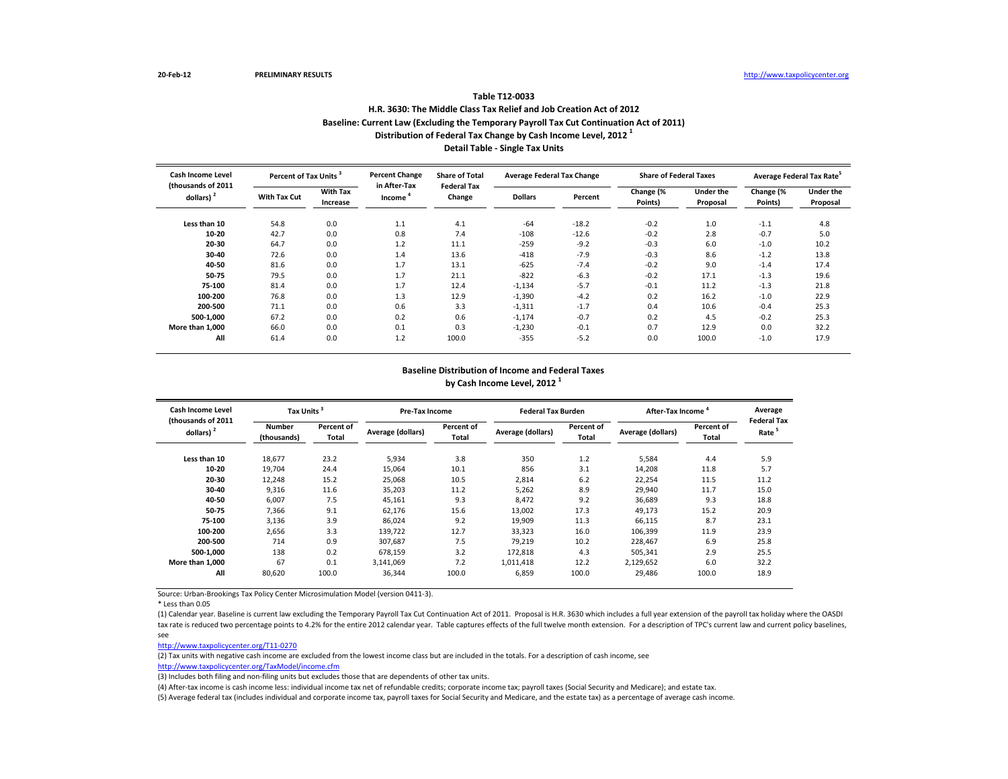# **Table T12-0033 H.R. 3630: The Middle Class Tax Relief and Job Creation Act of 2012 Baseline: Current Law (Excluding the Temporary Payroll Tax Cut Continuation Act of 2011) Distribution of Federal Tax Change by Cash Income Level, 2012 <sup>1</sup> Detail Table - Single Tax Units**

| Cash Income Level<br>(thousands of 2011 | Percent of Tax Units <sup>3</sup> |                             | <b>Percent Change</b><br>in After-Tax | <b>Share of Total</b><br><b>Federal Tax</b> | <b>Average Federal Tax Change</b> |         | <b>Share of Federal Taxes</b> |                       |                      | Average Federal Tax Rate <sup>3</sup> |
|-----------------------------------------|-----------------------------------|-----------------------------|---------------------------------------|---------------------------------------------|-----------------------------------|---------|-------------------------------|-----------------------|----------------------|---------------------------------------|
| dollars) <sup>2</sup>                   | <b>With Tax Cut</b>               | <b>With Tax</b><br>Increase | Income                                | Change                                      | <b>Dollars</b>                    | Percent | Change (%<br>Points)          | Under the<br>Proposal | Change (%<br>Points) | Under the<br>Proposal                 |
| Less than 10                            | 54.8                              | 0.0                         | 1.1                                   | 4.1                                         | $-64$                             | $-18.2$ | $-0.2$                        | 1.0                   | $-1.1$               | 4.8                                   |
| 10-20                                   | 42.7                              | 0.0                         | 0.8                                   | 7.4                                         | $-108$                            | $-12.6$ | $-0.2$                        | 2.8                   | $-0.7$               | 5.0                                   |
| 20-30                                   | 64.7                              | 0.0                         | 1.2                                   | 11.1                                        | $-259$                            | $-9.2$  | $-0.3$                        | 6.0                   | $-1.0$               | 10.2                                  |
| 30-40                                   | 72.6                              | 0.0                         | 1.4                                   | 13.6                                        | $-418$                            | $-7.9$  | $-0.3$                        | 8.6                   | $-1.2$               | 13.8                                  |
| 40-50                                   | 81.6                              | 0.0                         | 1.7                                   | 13.1                                        | $-625$                            | $-7.4$  | $-0.2$                        | 9.0                   | $-1.4$               | 17.4                                  |
| 50-75                                   | 79.5                              | 0.0                         | 1.7                                   | 21.1                                        | $-822$                            | $-6.3$  | $-0.2$                        | 17.1                  | $-1.3$               | 19.6                                  |
| 75-100                                  | 81.4                              | 0.0                         | 1.7                                   | 12.4                                        | $-1,134$                          | $-5.7$  | $-0.1$                        | 11.2                  | $-1.3$               | 21.8                                  |
| 100-200                                 | 76.8                              | 0.0                         | 1.3                                   | 12.9                                        | $-1,390$                          | $-4.2$  | 0.2                           | 16.2                  | $-1.0$               | 22.9                                  |
| 200-500                                 | 71.1                              | 0.0                         | 0.6                                   | 3.3                                         | $-1,311$                          | $-1.7$  | 0.4                           | 10.6                  | $-0.4$               | 25.3                                  |
| 500-1.000                               | 67.2                              | 0.0                         | 0.2                                   | 0.6                                         | $-1,174$                          | $-0.7$  | 0.2                           | 4.5                   | $-0.2$               | 25.3                                  |
| More than 1.000                         | 66.0                              | 0.0                         | 0.1                                   | 0.3                                         | $-1,230$                          | $-0.1$  | 0.7                           | 12.9                  | 0.0                  | 32.2                                  |
| All                                     | 61.4                              | 0.0                         | 1.2                                   | 100.0                                       | $-355$                            | $-5.2$  | 0.0                           | 100.0                 | $-1.0$               | 17.9                                  |

#### **Baseline Distribution of Income and Federal Taxes by Cash Income Level, 2012 <sup>1</sup>**

| <b>Cash Income Level</b>                    | Tax Units <sup>3</sup>       |                     | Pre-Tax Income    |                     | <b>Federal Tax Burden</b> |                     | After-Tax Income  |                     | Average<br><b>Federal Tax</b> |
|---------------------------------------------|------------------------------|---------------------|-------------------|---------------------|---------------------------|---------------------|-------------------|---------------------|-------------------------------|
| (thousands of 2011<br>dollars) <sup>2</sup> | <b>Number</b><br>(thousands) | Percent of<br>Total | Average (dollars) | Percent of<br>Total | Average (dollars)         | Percent of<br>Total | Average (dollars) | Percent of<br>Total | Rate <sup>5</sup>             |
| Less than 10                                | 18,677                       | 23.2                | 5,934             | 3.8                 | 350                       | 1.2                 | 5,584             | 4.4                 | 5.9                           |
| 10-20                                       | 19,704                       | 24.4                | 15,064            | 10.1                | 856                       | 3.1                 | 14,208            | 11.8                | 5.7                           |
| 20-30                                       | 12,248                       | 15.2                | 25,068            | 10.5                | 2,814                     | 6.2                 | 22,254            | 11.5                | 11.2                          |
| 30-40                                       | 9,316                        | 11.6                | 35,203            | 11.2                | 5,262                     | 8.9                 | 29,940            | 11.7                | 15.0                          |
| 40-50                                       | 6,007                        | 7.5                 | 45,161            | 9.3                 | 8,472                     | 9.2                 | 36,689            | 9.3                 | 18.8                          |
| 50-75                                       | 7.366                        | 9.1                 | 62,176            | 15.6                | 13,002                    | 17.3                | 49,173            | 15.2                | 20.9                          |
| 75-100                                      | 3,136                        | 3.9                 | 86,024            | 9.2                 | 19,909                    | 11.3                | 66,115            | 8.7                 | 23.1                          |
| 100-200                                     | 2,656                        | 3.3                 | 139,722           | 12.7                | 33,323                    | 16.0                | 106,399           | 11.9                | 23.9                          |
| 200-500                                     | 714                          | 0.9                 | 307.687           | 7.5                 | 79.219                    | 10.2                | 228,467           | 6.9                 | 25.8                          |
| 500-1.000                                   | 138                          | 0.2                 | 678.159           | 3.2                 | 172,818                   | 4.3                 | 505,341           | 2.9                 | 25.5                          |
| More than 1,000                             | 67                           | 0.1                 | 3,141,069         | 7.2                 | 1,011,418                 | 12.2                | 2,129,652         | 6.0                 | 32.2                          |
| All                                         | 80,620                       | 100.0               | 36,344            | 100.0               | 6,859                     | 100.0               | 29,486            | 100.0               | 18.9                          |

Source: Urban-Brookings Tax Policy Center Microsimulation Model (version 0411-3).

\* Less than 0.05

(1) Calendar year. Baseline is current law excluding the Temporary Payroll Tax Cut Continuation Act of 2011. Proposal is H.R. 3630 which includes a full year extension of the payroll tax holiday where the OASDI tax rate is reduced two percentage points to 4.2% for the entire 2012 calendar year. Table captures effects of the full twelve month extension. For a description of TPC's current law and current policy baselines, see

[http://www.taxpolicycente](http://www.taxpolicycenter.org/T11-0270)r.org/T11-0270

(2) Tax units with negative cash income are excluded from the lowest income class but are included in the totals. For a description of cash income, see

[http://www.taxpolicycente](http://www.taxpolicycenter.org/TaxModel/income.cfm)r.org/TaxModel/income.cfm (3) Includes both filing and non-filing units but excludes those that are dependents of other tax units.

(4) After-tax income is cash income less: individual income tax net of refundable credits; corporate income tax; payroll taxes (Social Security and Medicare); and estate tax.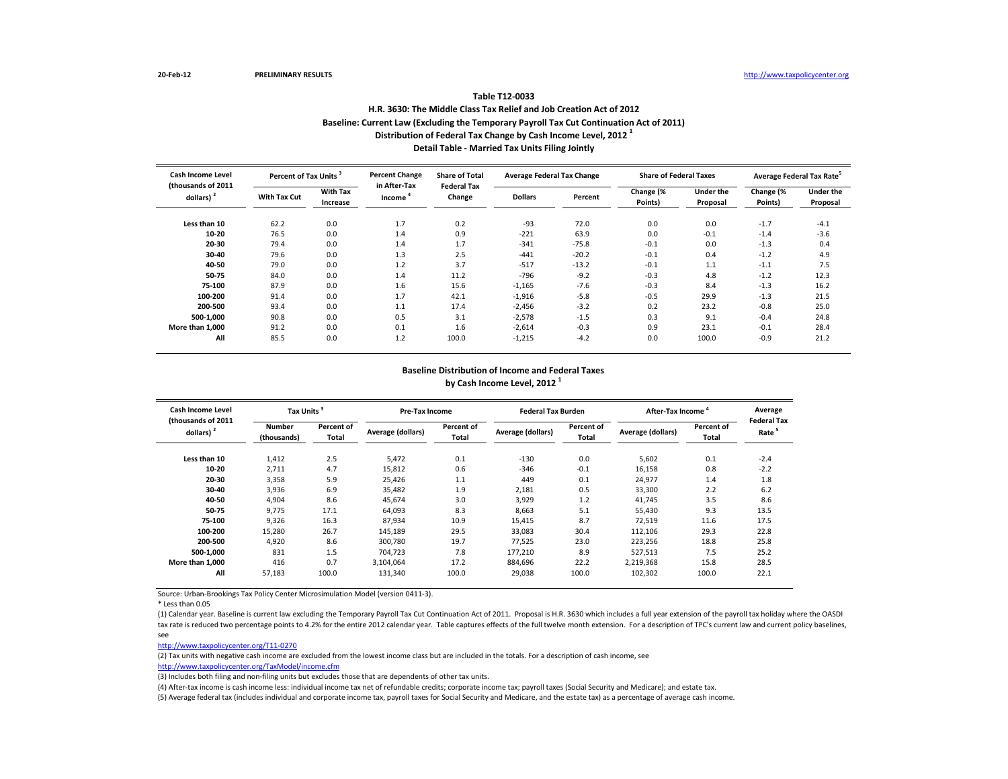# **Table T12-0033 H.R. 3630: The Middle Class Tax Relief and Job Creation Act of 2012 Baseline: Current Law (Excluding the Temporary Payroll Tax Cut Continuation Act of 2011) Distribution of Federal Tax Change by Cash Income Level, 2012 <sup>1</sup> Detail Table - Married Tax Units Filing Jointly**

| Cash Income Level<br>(thousands of 2011 | Percent of Tax Units |                             | <b>Percent Change</b><br>in After-Tax | <b>Share of Total</b><br><b>Federal Tax</b> | <b>Average Federal Tax Change</b> |         | <b>Share of Federal Taxes</b> |                       | Average Federal Tax Rate <sup>3</sup> |                       |
|-----------------------------------------|----------------------|-----------------------------|---------------------------------------|---------------------------------------------|-----------------------------------|---------|-------------------------------|-----------------------|---------------------------------------|-----------------------|
| dollars) <sup>2</sup>                   | <b>With Tax Cut</b>  | <b>With Tax</b><br>Increase | Income                                | Change                                      | <b>Dollars</b>                    | Percent | Change (%<br>Points)          | Under the<br>Proposal | Change (%<br>Points)                  | Under the<br>Proposal |
| Less than 10                            | 62.2                 | 0.0                         | 1.7                                   | 0.2                                         | -93                               | 72.0    | 0.0                           | 0.0                   | $-1.7$                                | $-4.1$                |
| 10-20                                   | 76.5                 | 0.0                         | 1.4                                   | 0.9                                         | $-221$                            | 63.9    | 0.0                           | $-0.1$                | $-1.4$                                | $-3.6$                |
| 20-30                                   | 79.4                 | 0.0                         | 1.4                                   | 1.7                                         | $-341$                            | $-75.8$ | $-0.1$                        | 0.0                   | $-1.3$                                | 0.4                   |
| 30-40                                   | 79.6                 | 0.0                         | 1.3                                   | 2.5                                         | $-441$                            | $-20.2$ | $-0.1$                        | 0.4                   | $-1.2$                                | 4.9                   |
| 40-50                                   | 79.0                 | 0.0                         | 1.2                                   | 3.7                                         | $-517$                            | $-13.2$ | $-0.1$                        | 1.1                   | $-1.1$                                | 7.5                   |
| 50-75                                   | 84.0                 | 0.0                         | 1.4                                   | 11.2                                        | $-796$                            | $-9.2$  | $-0.3$                        | 4.8                   | $-1.2$                                | 12.3                  |
| 75-100                                  | 87.9                 | 0.0                         | 1.6                                   | 15.6                                        | $-1,165$                          | $-7.6$  | $-0.3$                        | 8.4                   | $-1.3$                                | 16.2                  |
| 100-200                                 | 91.4                 | 0.0                         | 1.7                                   | 42.1                                        | $-1,916$                          | $-5.8$  | $-0.5$                        | 29.9                  | $-1.3$                                | 21.5                  |
| 200-500                                 | 93.4                 | 0.0                         | 1.1                                   | 17.4                                        | $-2,456$                          | $-3.2$  | 0.2                           | 23.2                  | $-0.8$                                | 25.0                  |
| 500-1.000                               | 90.8                 | 0.0                         | 0.5                                   | 3.1                                         | $-2,578$                          | $-1.5$  | 0.3                           | 9.1                   | $-0.4$                                | 24.8                  |
| More than 1.000                         | 91.2                 | 0.0                         | 0.1                                   | 1.6                                         | $-2,614$                          | $-0.3$  | 0.9                           | 23.1                  | $-0.1$                                | 28.4                  |
| All                                     | 85.5                 | 0.0                         | 1.2                                   | 100.0                                       | $-1,215$                          | $-4.2$  | 0.0                           | 100.0                 | $-0.9$                                | 21.2                  |

#### **Baseline Distribution of Income and Federal Taxes by Cash Income Level, 2012 <sup>1</sup>**

| <b>Cash Income Level</b>                    | Tax Units <sup>3</sup>       |                     | Pre-Tax Income    |                     | <b>Federal Tax Burden</b> |                     | After-Tax Income  |                     | Average                                 |
|---------------------------------------------|------------------------------|---------------------|-------------------|---------------------|---------------------------|---------------------|-------------------|---------------------|-----------------------------------------|
| (thousands of 2011<br>dollars) <sup>2</sup> | <b>Number</b><br>(thousands) | Percent of<br>Total | Average (dollars) | Percent of<br>Total | Average (dollars)         | Percent of<br>Total | Average (dollars) | Percent of<br>Total | <b>Federal Tax</b><br>Rate <sup>5</sup> |
| Less than 10                                | 1,412                        | 2.5                 | 5,472             | 0.1                 | $-130$                    | 0.0                 | 5,602             | 0.1                 | $-2.4$                                  |
| 10-20                                       | 2,711                        | 4.7                 | 15,812            | 0.6                 | $-346$                    | $-0.1$              | 16,158            | 0.8                 | $-2.2$                                  |
| 20-30                                       | 3,358                        | 5.9                 | 25,426            | 1.1                 | 449                       | 0.1                 | 24,977            | 1.4                 | 1.8                                     |
| 30-40                                       | 3,936                        | 6.9                 | 35,482            | 1.9                 | 2,181                     | 0.5                 | 33,300            | 2.2                 | 6.2                                     |
| 40-50                                       | 4,904                        | 8.6                 | 45,674            | 3.0                 | 3,929                     | 1.2                 | 41,745            | 3.5                 | 8.6                                     |
| 50-75                                       | 9.775                        | 17.1                | 64,093            | 8.3                 | 8,663                     | 5.1                 | 55,430            | 9.3                 | 13.5                                    |
| 75-100                                      | 9,326                        | 16.3                | 87,934            | 10.9                | 15,415                    | 8.7                 | 72,519            | 11.6                | 17.5                                    |
| 100-200                                     | 15,280                       | 26.7                | 145,189           | 29.5                | 33,083                    | 30.4                | 112,106           | 29.3                | 22.8                                    |
| 200-500                                     | 4.920                        | 8.6                 | 300.780           | 19.7                | 77.525                    | 23.0                | 223,256           | 18.8                | 25.8                                    |
| 500-1,000                                   | 831                          | 1.5                 | 704.723           | 7.8                 | 177,210                   | 8.9                 | 527,513           | 7.5                 | 25.2                                    |
| More than 1,000                             | 416                          | 0.7                 | 3,104,064         | 17.2                | 884,696                   | 22.2                | 2,219,368         | 15.8                | 28.5                                    |
| All                                         | 57,183                       | 100.0               | 131,340           | 100.0               | 29,038                    | 100.0               | 102,302           | 100.0               | 22.1                                    |

Source: Urban-Brookings Tax Policy Center Microsimulation Model (version 0411-3).

\* Less than 0.05

(1) Calendar year. Baseline is current law excluding the Temporary Payroll Tax Cut Continuation Act of 2011. Proposal is H.R. 3630 which includes a full year extension of the payroll tax holiday where the OASDI tax rate is reduced two percentage points to 4.2% for the entire 2012 calendar year. Table captures effects of the full twelve month extension. For a description of TPC's current law and current policy baselines, see

[http://www.taxpolicycente](http://www.taxpolicycenter.org/T11-0270)r.org/T11-0270

(2) Tax units with negative cash income are excluded from the lowest income class but are included in the totals. For a description of cash income, see

[http://www.taxpolicycente](http://www.taxpolicycenter.org/TaxModel/income.cfm)r.org/TaxModel/income.cfm (3) Includes both filing and non-filing units but excludes those that are dependents of other tax units.

(4) After-tax income is cash income less: individual income tax net of refundable credits; corporate income tax; payroll taxes (Social Security and Medicare); and estate tax.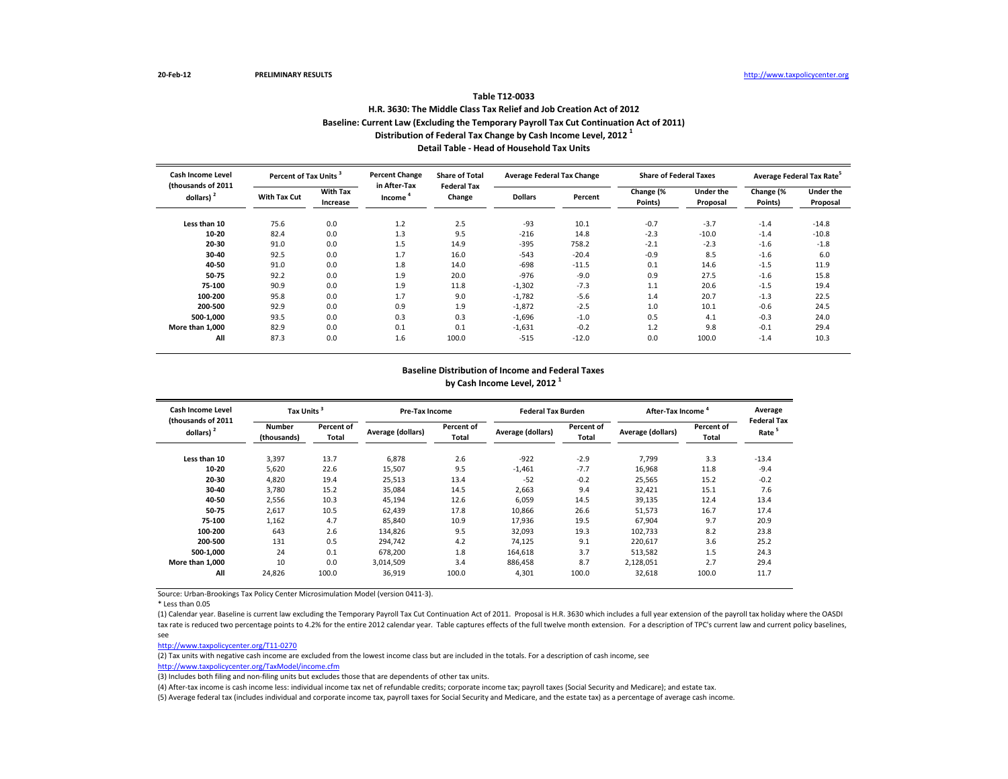# **Table T12-0033 H.R. 3630: The Middle Class Tax Relief and Job Creation Act of 2012 Baseline: Current Law (Excluding the Temporary Payroll Tax Cut Continuation Act of 2011) Distribution of Federal Tax Change by Cash Income Level, 2012 <sup>1</sup> Detail Table - Head of Household Tax Units**

| Cash Income Level                  | Percent of Tax Units |                             | <b>Percent Change</b><br>in After-Tax | <b>Share of Total</b><br><b>Federal Tax</b> |                | <b>Average Federal Tax Change</b> | <b>Share of Federal Taxes</b> |                       |                      | Average Federal Tax Rate <sup>3</sup> |
|------------------------------------|----------------------|-----------------------------|---------------------------------------|---------------------------------------------|----------------|-----------------------------------|-------------------------------|-----------------------|----------------------|---------------------------------------|
| (thousands of 2011<br>dollars) $2$ | <b>With Tax Cut</b>  | <b>With Tax</b><br>Increase | Income                                | Change                                      | <b>Dollars</b> | Percent                           | Change (%<br>Points)          | Under the<br>Proposal | Change (%<br>Points) | Under the<br>Proposal                 |
| Less than 10                       | 75.6                 | 0.0                         | 1.2                                   | 2.5                                         | -93            | 10.1                              | $-0.7$                        | $-3.7$                | $-1.4$               | $-14.8$                               |
| 10-20                              | 82.4                 | 0.0                         | 1.3                                   | 9.5                                         | $-216$         | 14.8                              | $-2.3$                        | $-10.0$               | $-1.4$               | $-10.8$                               |
| 20-30                              | 91.0                 | 0.0                         | 1.5                                   | 14.9                                        | $-395$         | 758.2                             | $-2.1$                        | $-2.3$                | $-1.6$               | $-1.8$                                |
| 30-40                              | 92.5                 | 0.0                         | 1.7                                   | 16.0                                        | $-543$         | $-20.4$                           | $-0.9$                        | 8.5                   | $-1.6$               | 6.0                                   |
| 40-50                              | 91.0                 | 0.0                         | 1.8                                   | 14.0                                        | $-698$         | $-11.5$                           | 0.1                           | 14.6                  | $-1.5$               | 11.9                                  |
| 50-75                              | 92.2                 | 0.0                         | 1.9                                   | 20.0                                        | $-976$         | $-9.0$                            | 0.9                           | 27.5                  | $-1.6$               | 15.8                                  |
| 75-100                             | 90.9                 | 0.0                         | 1.9                                   | 11.8                                        | $-1,302$       | $-7.3$                            | 1.1                           | 20.6                  | $-1.5$               | 19.4                                  |
| 100-200                            | 95.8                 | 0.0                         | 1.7                                   | 9.0                                         | $-1,782$       | $-5.6$                            | 1.4                           | 20.7                  | $-1.3$               | 22.5                                  |
| 200-500                            | 92.9                 | 0.0                         | 0.9                                   | 1.9                                         | $-1,872$       | $-2.5$                            | 1.0                           | 10.1                  | $-0.6$               | 24.5                                  |
| 500-1,000                          | 93.5                 | 0.0                         | 0.3                                   | 0.3                                         | $-1,696$       | $-1.0$                            | 0.5                           | 4.1                   | $-0.3$               | 24.0                                  |
| More than 1.000                    | 82.9                 | 0.0                         | 0.1                                   | 0.1                                         | $-1,631$       | $-0.2$                            | 1.2                           | 9.8                   | $-0.1$               | 29.4                                  |
| All                                | 87.3                 | 0.0                         | 1.6                                   | 100.0                                       | $-515$         | $-12.0$                           | 0.0                           | 100.0                 | $-1.4$               | 10.3                                  |

#### **Baseline Distribution of Income and Federal Taxes by Cash Income Level, 2012 <sup>1</sup>**

| <b>Cash Income Level</b>                    |                              | Tax Units <sup>3</sup> |                   | Pre-Tax Income      |                   | <b>Federal Tax Burden</b>  | After-Tax Income  |                     | Average<br><b>Federal Tax</b> |
|---------------------------------------------|------------------------------|------------------------|-------------------|---------------------|-------------------|----------------------------|-------------------|---------------------|-------------------------------|
| (thousands of 2011<br>dollars) <sup>2</sup> | <b>Number</b><br>(thousands) | Percent of<br>Total    | Average (dollars) | Percent of<br>Total | Average (dollars) | Percent of<br><b>Total</b> | Average (dollars) | Percent of<br>Total | Rate <sup>5</sup>             |
| Less than 10                                | 3,397                        | 13.7                   | 6,878             | 2.6                 | $-922$            | $-2.9$                     | 7,799             | 3.3                 | $-13.4$                       |
| 10-20                                       | 5,620                        | 22.6                   | 15,507            | 9.5                 | $-1,461$          | $-7.7$                     | 16,968            | 11.8                | $-9.4$                        |
| 20-30                                       | 4,820                        | 19.4                   | 25,513            | 13.4                | $-52$             | $-0.2$                     | 25,565            | 15.2                | $-0.2$                        |
| 30-40                                       | 3,780                        | 15.2                   | 35,084            | 14.5                | 2,663             | 9.4                        | 32,421            | 15.1                | 7.6                           |
| 40-50                                       | 2,556                        | 10.3                   | 45,194            | 12.6                | 6,059             | 14.5                       | 39,135            | 12.4                | 13.4                          |
| 50-75                                       | 2,617                        | 10.5                   | 62.439            | 17.8                | 10,866            | 26.6                       | 51,573            | 16.7                | 17.4                          |
| 75-100                                      | 1,162                        | 4.7                    | 85,840            | 10.9                | 17,936            | 19.5                       | 67,904            | 9.7                 | 20.9                          |
| 100-200                                     | 643                          | 2.6                    | 134,826           | 9.5                 | 32,093            | 19.3                       | 102,733           | 8.2                 | 23.8                          |
| 200-500                                     | 131                          | 0.5                    | 294.742           | 4.2                 | 74.125            | 9.1                        | 220.617           | 3.6                 | 25.2                          |
| 500-1,000                                   | 24                           | 0.1                    | 678.200           | 1.8                 | 164,618           | 3.7                        | 513,582           | 1.5                 | 24.3                          |
| More than 1,000                             | 10                           | 0.0                    | 3,014,509         | 3.4                 | 886,458           | 8.7                        | 2,128,051         | 2.7                 | 29.4                          |
| All                                         | 24,826                       | 100.0                  | 36,919            | 100.0               | 4,301             | 100.0                      | 32,618            | 100.0               | 11.7                          |

Source: Urban-Brookings Tax Policy Center Microsimulation Model (version 0411-3).

\* Less than 0.05

(1) Calendar year. Baseline is current law excluding the Temporary Payroll Tax Cut Continuation Act of 2011. Proposal is H.R. 3630 which includes a full year extension of the payroll tax holiday where the OASDI tax rate is reduced two percentage points to 4.2% for the entire 2012 calendar year. Table captures effects of the full twelve month extension. For a description of TPC's current law and current policy baselines, see

[http://www.taxpolicycente](http://www.taxpolicycenter.org/T11-0270)r.org/T11-0270

(2) Tax units with negative cash income are excluded from the lowest income class but are included in the totals. For a description of cash income, see

[http://www.taxpolicycente](http://www.taxpolicycenter.org/TaxModel/income.cfm)r.org/TaxModel/income.cfm (3) Includes both filing and non-filing units but excludes those that are dependents of other tax units.

(4) After-tax income is cash income less: individual income tax net of refundable credits; corporate income tax; payroll taxes (Social Security and Medicare); and estate tax.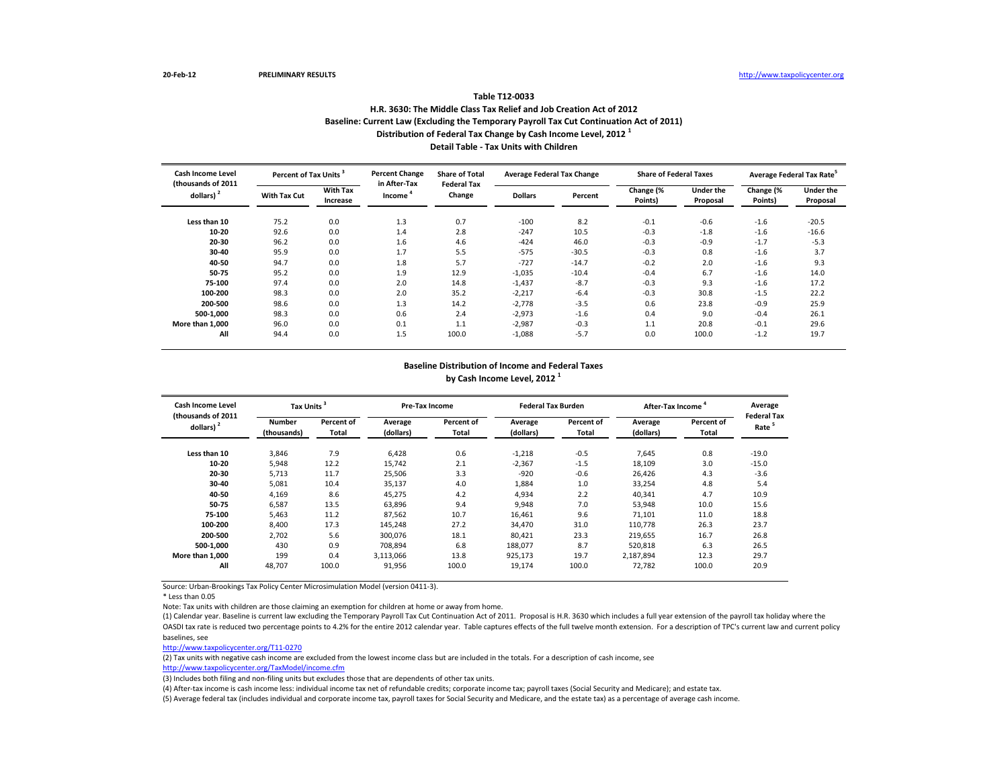#### **Table T12-0033**

## **H.R. 3630: The Middle Class Tax Relief and Job Creation Act of 2012 Baseline: Current Law (Excluding the Temporary Payroll Tax Cut Continuation Act of 2011) Distribution of Federal Tax Change by Cash Income Level, 2012 <sup>1</sup> Detail Table - Tax Units with Children**

| <b>Cash Income Level</b>                    | Percent of Tax Units <sup>3</sup> |                             | <b>Percent Change</b>  | <b>Share of Total</b><br><b>Federal Tax</b> | <b>Average Federal Tax Change</b> |         | <b>Share of Federal Taxes</b> |                              |                      | Average Federal Tax Rate     |
|---------------------------------------------|-----------------------------------|-----------------------------|------------------------|---------------------------------------------|-----------------------------------|---------|-------------------------------|------------------------------|----------------------|------------------------------|
| (thousands of 2011<br>dollars) <sup>2</sup> | <b>With Tax Cut</b>               | <b>With Tax</b><br>Increase | in After-Tax<br>Income | Change                                      | <b>Dollars</b>                    | Percent | Change (%<br>Points)          | <b>Under the</b><br>Proposal | Change (%<br>Points) | <b>Under the</b><br>Proposal |
| Less than 10                                | 75.2                              | 0.0                         | 1.3                    | 0.7                                         | $-100$                            | 8.2     | $-0.1$                        | $-0.6$                       | $-1.6$               | $-20.5$                      |
| 10-20                                       | 92.6                              | 0.0                         | 1.4                    | 2.8                                         | $-247$                            | 10.5    | $-0.3$                        | $-1.8$                       | $-1.6$               | $-16.6$                      |
| 20-30                                       | 96.2                              | 0.0                         | 1.6                    | 4.6                                         | $-424$                            | 46.0    | $-0.3$                        | $-0.9$                       | $-1.7$               | $-5.3$                       |
| 30-40                                       | 95.9                              | 0.0                         | 1.7                    | 5.5                                         | $-575$                            | $-30.5$ | $-0.3$                        | 0.8                          | $-1.6$               | 3.7                          |
| 40-50                                       | 94.7                              | 0.0                         | 1.8                    | 5.7                                         | $-727$                            | $-14.7$ | $-0.2$                        | 2.0                          | $-1.6$               | 9.3                          |
| 50-75                                       | 95.2                              | 0.0                         | 1.9                    | 12.9                                        | $-1,035$                          | $-10.4$ | $-0.4$                        | 6.7                          | $-1.6$               | 14.0                         |
| 75-100                                      | 97.4                              | 0.0                         | 2.0                    | 14.8                                        | $-1,437$                          | $-8.7$  | $-0.3$                        | 9.3                          | $-1.6$               | 17.2                         |
| 100-200                                     | 98.3                              | 0.0                         | 2.0                    | 35.2                                        | $-2,217$                          | $-6.4$  | $-0.3$                        | 30.8                         | $-1.5$               | 22.2                         |
| 200-500                                     | 98.6                              | 0.0                         | 1.3                    | 14.2                                        | $-2,778$                          | $-3.5$  | 0.6                           | 23.8                         | $-0.9$               | 25.9                         |
| 500-1.000                                   | 98.3                              | 0.0                         | 0.6                    | 2.4                                         | $-2,973$                          | $-1.6$  | 0.4                           | 9.0                          | $-0.4$               | 26.1                         |
| More than 1.000                             | 96.0                              | 0.0                         | 0.1                    | 1.1                                         | $-2,987$                          | $-0.3$  | 1.1                           | 20.8                         | $-0.1$               | 29.6                         |
| All                                         | 94.4                              | 0.0                         | 1.5                    | 100.0                                       | $-1,088$                          | $-5.7$  | 0.0                           | 100.0                        | $-1.2$               | 19.7                         |

## **Baseline Distribution of Income and Federal Taxes by Cash Income Level, 2012 <sup>1</sup>**

| Cash Income Level<br>(thousands of 2011 |                              | Tax Units <sup>3</sup>     |                      | Pre-Tax Income      |                      | <b>Federal Tax Burden</b> | After-Tax Income     |                            | Average<br><b>Federal Tax</b> |
|-----------------------------------------|------------------------------|----------------------------|----------------------|---------------------|----------------------|---------------------------|----------------------|----------------------------|-------------------------------|
| dollars) <sup>2</sup>                   | <b>Number</b><br>(thousands) | Percent of<br><b>Total</b> | Average<br>(dollars) | Percent of<br>Total | Average<br>(dollars) | Percent of<br>Total       | Average<br>(dollars) | <b>Percent of</b><br>Total | Rate <sup>5</sup>             |
| Less than 10                            | 3,846                        | 7.9                        | 6.428                | 0.6                 | $-1,218$             | $-0.5$                    | 7.645                | 0.8                        | $-19.0$                       |
| 10-20                                   | 5,948                        | 12.2                       | 15.742               | 2.1                 | $-2,367$             | $-1.5$                    | 18,109               | 3.0                        | $-15.0$                       |
| 20-30                                   | 5,713                        | 11.7                       | 25.506               | 3.3                 | $-920$               | $-0.6$                    | 26.426               | 4.3                        | $-3.6$                        |
| 30-40                                   | 5,081                        | 10.4                       | 35,137               | 4.0                 | 1,884                | 1.0                       | 33,254               | 4.8                        | 5.4                           |
| 40-50                                   | 4,169                        | 8.6                        | 45,275               | 4.2                 | 4,934                | 2.2                       | 40,341               | 4.7                        | 10.9                          |
| 50-75                                   | 6,587                        | 13.5                       | 63,896               | 9.4                 | 9,948                | 7.0                       | 53,948               | 10.0                       | 15.6                          |
| 75-100                                  | 5.463                        | 11.2                       | 87.562               | 10.7                | 16,461               | 9.6                       | 71,101               | 11.0                       | 18.8                          |
| 100-200                                 | 8.400                        | 17.3                       | 145,248              | 27.2                | 34.470               | 31.0                      | 110,778              | 26.3                       | 23.7                          |
| 200-500                                 | 2.702                        | 5.6                        | 300.076              | 18.1                | 80.421               | 23.3                      | 219,655              | 16.7                       | 26.8                          |
| 500-1.000                               | 430                          | 0.9                        | 708.894              | 6.8                 | 188,077              | 8.7                       | 520.818              | 6.3                        | 26.5                          |
| More than 1.000                         | 199                          | 0.4                        | 3.113.066            | 13.8                | 925.173              | 19.7                      | 2.187.894            | 12.3                       | 29.7                          |
| All                                     | 48,707                       | 100.0                      | 91,956               | 100.0               | 19,174               | 100.0                     | 72,782               | 100.0                      | 20.9                          |

Source: Urban-Brookings Tax Policy Center Microsimulation Model (version 0411-3).

\* Less than 0.05

Note: Tax units with children are those claiming an exemption for children at home or away from home.

(1) Calendar year. Baseline is current law excluding the Temporary Payroll Tax Cut Continuation Act of 2011. Proposal is H.R. 3630 which includes a full year extension of the payroll tax holiday where the OASDI tax rate is reduced two percentage points to 4.2% for the entire 2012 calendar year. Table captures effects of the full twelve month extension. For a description of TPC's current law and current policy baselines, see

[http://www.taxpolicycente](http://www.taxpolicycenter.org/T11-0270)r.org/T11-0270

(2) Tax units with negative cash income are excluded from the lowest income class but are included in the totals. For a description of cash income, see

[http://www.taxpolicycente](http://www.taxpolicycenter.org/TaxModel/income.cfm)r.org/TaxModel/income.cfm

(3) Includes both filing and non-filing units but excludes those that are dependents of other tax units.

(4) After-tax income is cash income less: individual income tax net of refundable credits; corporate income tax; payroll taxes (Social Security and Medicare); and estate tax.